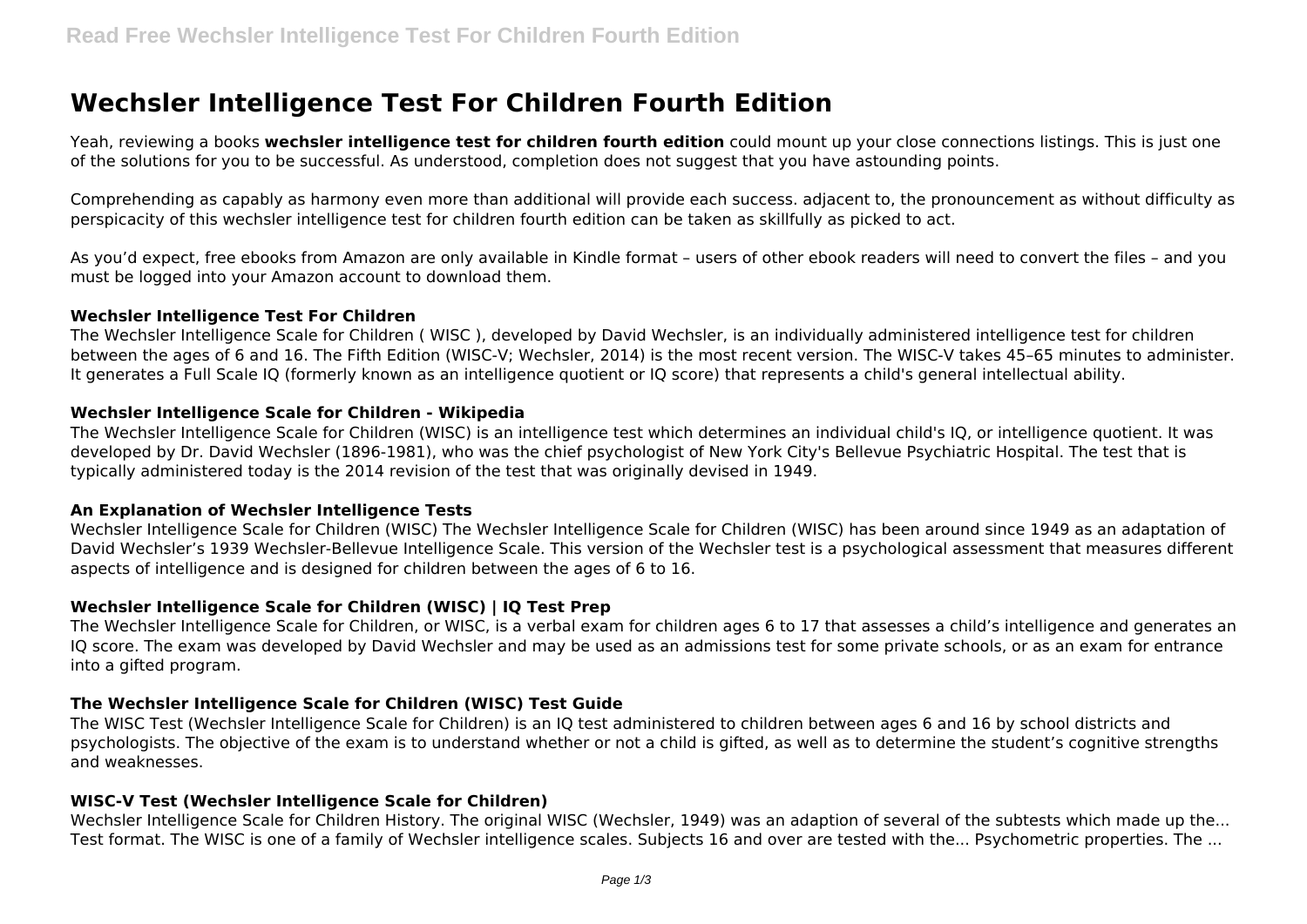# **Wechsler Intelligence Test For Children Fourth Edition**

Yeah, reviewing a books **wechsler intelligence test for children fourth edition** could mount up your close connections listings. This is just one of the solutions for you to be successful. As understood, completion does not suggest that you have astounding points.

Comprehending as capably as harmony even more than additional will provide each success. adjacent to, the pronouncement as without difficulty as perspicacity of this wechsler intelligence test for children fourth edition can be taken as skillfully as picked to act.

As you'd expect, free ebooks from Amazon are only available in Kindle format – users of other ebook readers will need to convert the files – and you must be logged into your Amazon account to download them.

#### **Wechsler Intelligence Test For Children**

The Wechsler Intelligence Scale for Children ( WISC ), developed by David Wechsler, is an individually administered intelligence test for children between the ages of 6 and 16. The Fifth Edition (WISC-V; Wechsler, 2014) is the most recent version. The WISC-V takes 45–65 minutes to administer. It generates a Full Scale IQ (formerly known as an intelligence quotient or IQ score) that represents a child's general intellectual ability.

## **Wechsler Intelligence Scale for Children - Wikipedia**

The Wechsler Intelligence Scale for Children (WISC) is an intelligence test which determines an individual child's IQ, or intelligence quotient. It was developed by Dr. David Wechsler (1896-1981), who was the chief psychologist of New York City's Bellevue Psychiatric Hospital. The test that is typically administered today is the 2014 revision of the test that was originally devised in 1949.

## **An Explanation of Wechsler Intelligence Tests**

Wechsler Intelligence Scale for Children (WISC) The Wechsler Intelligence Scale for Children (WISC) has been around since 1949 as an adaptation of David Wechsler's 1939 Wechsler-Bellevue Intelligence Scale. This version of the Wechsler test is a psychological assessment that measures different aspects of intelligence and is designed for children between the ages of 6 to 16.

# **Wechsler Intelligence Scale for Children (WISC) | IQ Test Prep**

The Wechsler Intelligence Scale for Children, or WISC, is a verbal exam for children ages 6 to 17 that assesses a child's intelligence and generates an IQ score. The exam was developed by David Wechsler and may be used as an admissions test for some private schools, or as an exam for entrance into a gifted program.

## **The Wechsler Intelligence Scale for Children (WISC) Test Guide**

The WISC Test (Wechsler Intelligence Scale for Children) is an IQ test administered to children between ages 6 and 16 by school districts and psychologists. The objective of the exam is to understand whether or not a child is gifted, as well as to determine the student's cognitive strengths and weaknesses.

## **WISC-V Test (Wechsler Intelligence Scale for Children)**

Wechsler Intelligence Scale for Children History. The original WISC (Wechsler, 1949) was an adaption of several of the subtests which made up the... Test format. The WISC is one of a family of Wechsler intelligence scales. Subjects 16 and over are tested with the... Psychometric properties. The ...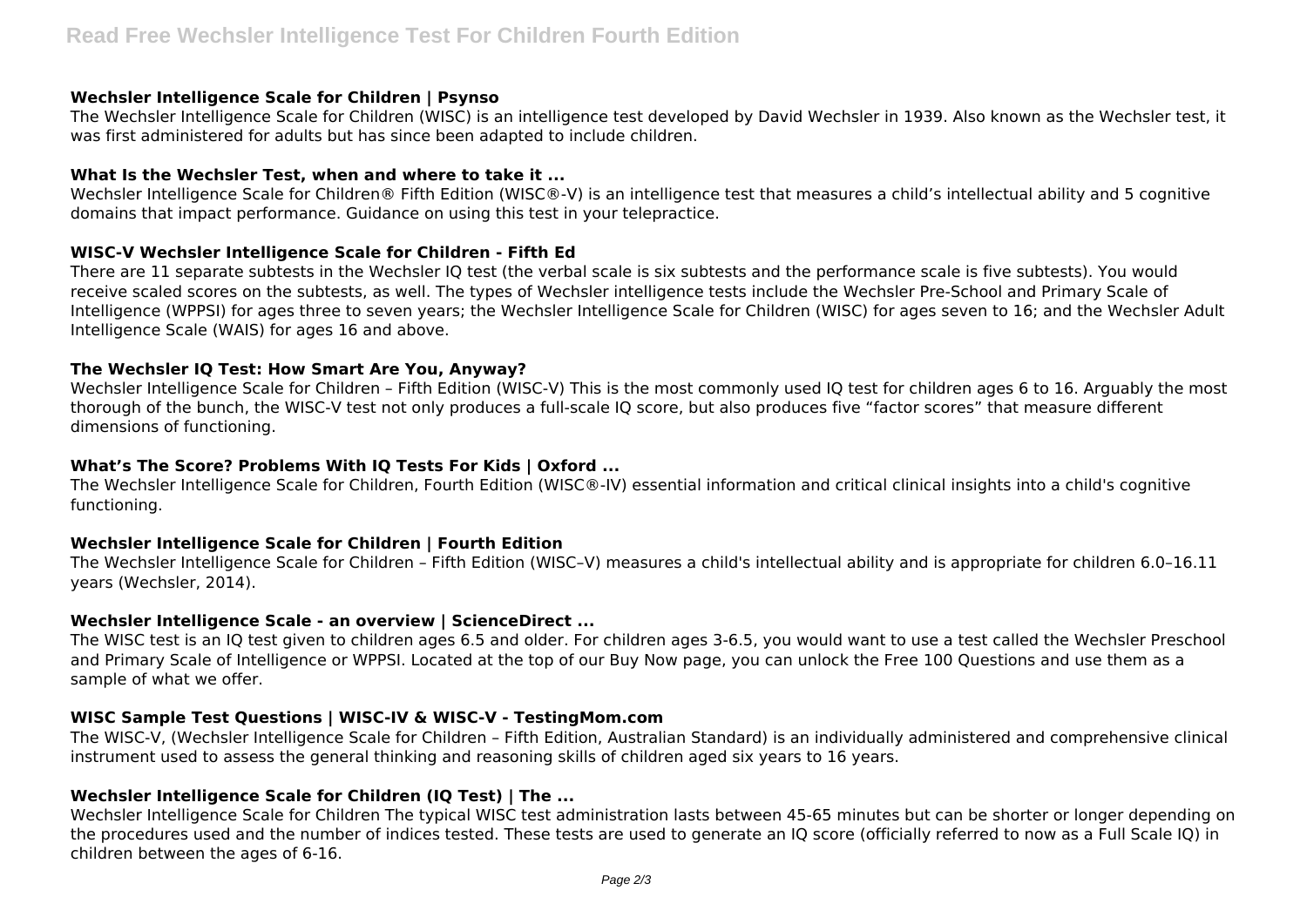## **Wechsler Intelligence Scale for Children | Psynso**

The Wechsler Intelligence Scale for Children (WISC) is an intelligence test developed by David Wechsler in 1939. Also known as the Wechsler test, it was first administered for adults but has since been adapted to include children.

# **What Is the Wechsler Test, when and where to take it ...**

Wechsler Intelligence Scale for Children® Fifth Edition (WISC®-V) is an intelligence test that measures a child's intellectual ability and 5 cognitive domains that impact performance. Guidance on using this test in your telepractice.

# **WISC-V Wechsler Intelligence Scale for Children - Fifth Ed**

There are 11 separate subtests in the Wechsler IQ test (the verbal scale is six subtests and the performance scale is five subtests). You would receive scaled scores on the subtests, as well. The types of Wechsler intelligence tests include the Wechsler Pre-School and Primary Scale of Intelligence (WPPSI) for ages three to seven years; the Wechsler Intelligence Scale for Children (WISC) for ages seven to 16; and the Wechsler Adult Intelligence Scale (WAIS) for ages 16 and above.

# **The Wechsler IQ Test: How Smart Are You, Anyway?**

Wechsler Intelligence Scale for Children – Fifth Edition (WISC-V) This is the most commonly used IQ test for children ages 6 to 16. Arguably the most thorough of the bunch, the WISC-V test not only produces a full-scale IQ score, but also produces five "factor scores" that measure different dimensions of functioning.

# **What's The Score? Problems With IQ Tests For Kids | Oxford ...**

The Wechsler Intelligence Scale for Children, Fourth Edition (WISC®-IV) essential information and critical clinical insights into a child's cognitive functioning.

## **Wechsler Intelligence Scale for Children | Fourth Edition**

The Wechsler Intelligence Scale for Children – Fifth Edition (WISC–V) measures a child's intellectual ability and is appropriate for children 6.0–16.11 years (Wechsler, 2014).

## **Wechsler Intelligence Scale - an overview | ScienceDirect ...**

The WISC test is an IQ test given to children ages 6.5 and older. For children ages 3-6.5, you would want to use a test called the Wechsler Preschool and Primary Scale of Intelligence or WPPSI. Located at the top of our Buy Now page, you can unlock the Free 100 Questions and use them as a sample of what we offer.

# **WISC Sample Test Questions | WISC-IV & WISC-V - TestingMom.com**

The WISC-V, (Wechsler Intelligence Scale for Children – Fifth Edition, Australian Standard) is an individually administered and comprehensive clinical instrument used to assess the general thinking and reasoning skills of children aged six years to 16 years.

# **Wechsler Intelligence Scale for Children (IQ Test) | The ...**

Wechsler Intelligence Scale for Children The typical WISC test administration lasts between 45-65 minutes but can be shorter or longer depending on the procedures used and the number of indices tested. These tests are used to generate an IQ score (officially referred to now as a Full Scale IQ) in children between the ages of 6-16.